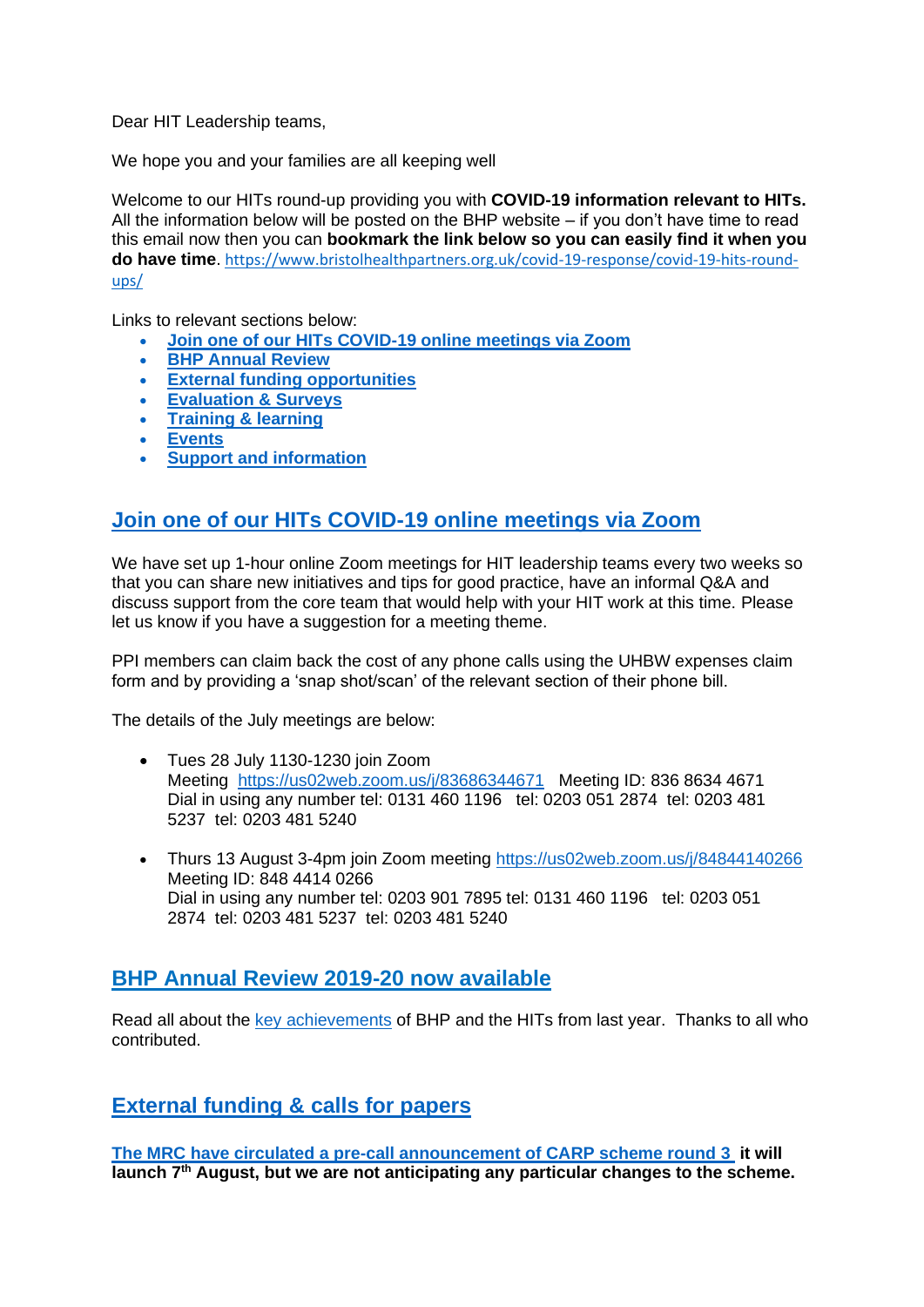Dear HIT Leadership teams,

We hope you and your families are all keeping well

Welcome to our HITs round-up providing you with **COVID-19 information relevant to HITs.** All the information below will be posted on the BHP website – if you don't have time to read this email now then you can **bookmark the link below so you can easily find it when you do have time**. [https://www.bristolhealthpartners.org.uk/covid-19-response/covid-19-hits-round](https://www.bristolhealthpartners.org.uk/covid-19-response/covid-19-hits-round-ups/)[ups/](https://www.bristolhealthpartners.org.uk/covid-19-response/covid-19-hits-round-ups/)

Links to relevant sections below:

- **Join one of our HITs COVID-19 online meetings via Zoom**
- **[BHP Annual Review](#page-0-0)**
- **[External funding opportunities](#page-0-1)**
- **[Evaluation & Surveys](#page-1-0)**
- **[Training & learning](#page-3-0)**
- **[Events](#page-3-1)**
- **[Support and information](#page-4-0)**

## **Join one of our HITs COVID-19 online meetings via Zoom**

We have set up 1-hour online Zoom meetings for HIT leadership teams every two weeks so that you can share new initiatives and tips for good practice, have an informal Q&A and discuss support from the core team that would help with your HIT work at this time. Please let us know if you have a suggestion for a meeting theme.

PPI members can claim back the cost of any phone calls using the UHBW expenses claim form and by providing a 'snap shot/scan' of the relevant section of their phone bill.

The details of the July meetings are below:

- Tues 28 July 1130-1230 join Zoom Meeting <https://us02web.zoom.us/j/83686344671> Meeting ID: 836 8634 4671 Dial in using any number tel: 0131 460 1196 tel: 0203 051 2874 tel: 0203 481 5237 tel: 0203 481 5240
- Thurs 13 August 3-4pm join Zoom meeting<https://us02web.zoom.us/j/84844140266> Meeting ID: 848 4414 0266 Dial in using any number tel: 0203 901 7895 tel: 0131 460 1196 tel: 0203 051 2874 tel: 0203 481 5237 tel: 0203 481 5240

## <span id="page-0-0"></span>**[BHP Annual Review 2019-20 now available](#page-0-0)**

Read all about the [key achievements](http://annual-review-2019.bristolhealthpartners.org.uk/) of BHP and the HITs from last year. Thanks to all who contributed.

<span id="page-0-1"></span>**[External funding & calls for papers](#page-0-1)**

**[The MRC have circulated a pre-call announcement of CARP scheme round 3](https://smex-ctp.trendmicro.com/wis/clicktime/v1/query?url=https%3a%2f%2fmrc.ukri.org%2ffunding%2fbrowse%2fclinical%2dacademic%2dresearch%2dpartnerships%2fclinical%2dacademic%2dresearch%2dpartnerships%2dround%2d3%2dpre%2dcall%2dannouncement%2f%3futm%5fmedium%3demail%26utm%5fsource%3dgovdelivery&umid=d2f6e343-468f-45a3-819e-8b9eb934b866&auth=af4139d5fc92168f459157a768663d3937a6e4c7-d2ea0a9944469268ff266f99175d2018899c6fae) it will launch 7th August, but we are not anticipating any particular changes to the scheme.**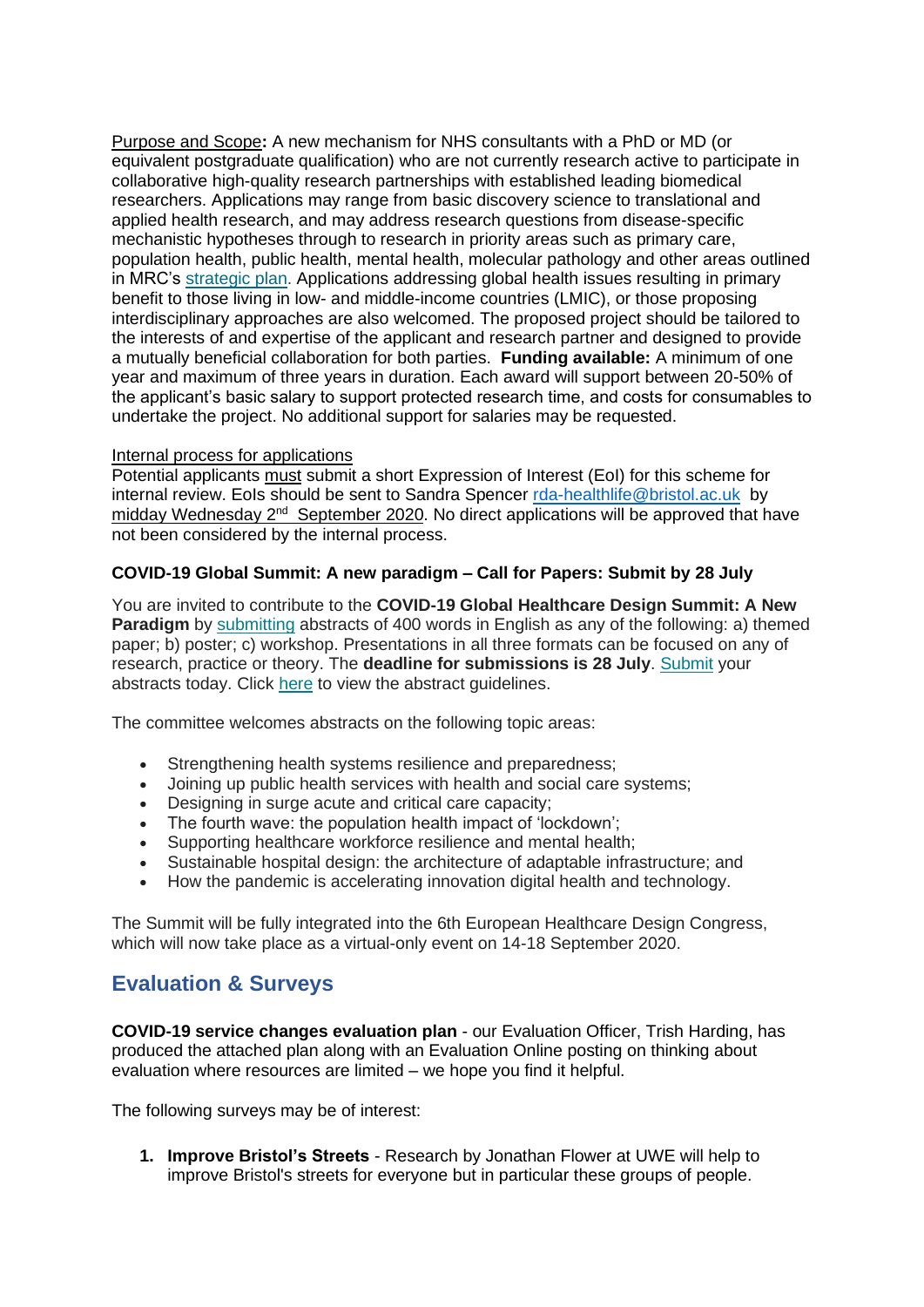Purpose and Scope**:** A new mechanism for NHS consultants with a PhD or MD (or equivalent postgraduate qualification) who are not currently research active to participate in collaborative high-quality research partnerships with established leading biomedical researchers. Applications may range from basic discovery science to translational and applied health research, and may address research questions from disease-specific mechanistic hypotheses through to research in priority areas such as primary care, population health, public health, mental health, molecular pathology and other areas outlined in MRC's [strategic](https://smex-ctp.trendmicro.com/wis/clicktime/v1/query?url=https%3a%2f%2fmrc.ukri.org%2fresearch%2fstrategy%2f&umid=d2f6e343-468f-45a3-819e-8b9eb934b866&auth=af4139d5fc92168f459157a768663d3937a6e4c7-60ada2627fd106c5e19242ad0b5518aad5c99c15) plan. Applications addressing global health issues resulting in primary benefit to those living in low- and middle-income countries (LMIC), or those proposing interdisciplinary approaches are also welcomed. The proposed project should be tailored to the interests of and expertise of the applicant and research partner and designed to provide a mutually beneficial collaboration for both parties. **Funding available:** A minimum of one year and maximum of three years in duration. Each award will support between 20-50% of the applicant's basic salary to support protected research time, and costs for consumables to undertake the project. No additional support for salaries may be requested.

### Internal process for applications

Potential applicants must submit a short Expression of Interest (EoI) for this scheme for internal review. EoIs should be sent to Sandra Spencer [rda-healthlife@bristol.ac.uk](mailto:rda-healthlife@bristol.ac.uk) by midday Wednesday 2<sup>nd</sup> September 2020. No direct applications will be approved that have not been considered by the internal process.

### **COVID-19 Global Summit: A new paradigm – Call for Papers: Submit by 28 July**

You are invited to contribute to the **COVID-19 Global Healthcare Design Summit: A New Paradigm** by [submitting](https://global.us12.list-manage.com/track/click?u=8314cf18833873f1eb706ce82&id=504c1791cc&e=03a09c8710) abstracts of 400 words in English as any of the following: a) themed paper; b) poster; c) workshop. Presentations in all three formats can be focused on any of research, practice or theory. The **deadline for submissions is 28 July**. [Submit](https://global.us12.list-manage.com/track/click?u=8314cf18833873f1eb706ce82&id=ddc15ec1f5&e=03a09c8710) your abstracts today. Click [here](https://global.us12.list-manage.com/track/click?u=8314cf18833873f1eb706ce82&id=4871391405&e=03a09c8710) to view the abstract guidelines.

The committee welcomes abstracts on the following topic areas:

- Strengthening health systems resilience and preparedness;
- Joining up public health services with health and social care systems;
- Designing in surge acute and critical care capacity;
- The fourth wave: the population health impact of 'lockdown';
- Supporting healthcare workforce resilience and mental health;
- Sustainable hospital design: the architecture of adaptable infrastructure; and
- How the pandemic is accelerating innovation digital health and technology.

The Summit will be fully integrated into the 6th European Healthcare Design Congress, which will now take place as a virtual-only event on 14-18 September 2020.

# <span id="page-1-0"></span>**Evaluation & Surveys**

**COVID-19 service changes evaluation plan** - our Evaluation Officer, Trish Harding, has produced the attached plan along with an Evaluation Online posting on thinking about evaluation where resources are limited – we hope you find it helpful.

The following surveys may be of interest:

**1. Improve Bristol's Streets** - Research by Jonathan Flower at UWE will help to improve Bristol's streets for everyone but in particular these groups of people.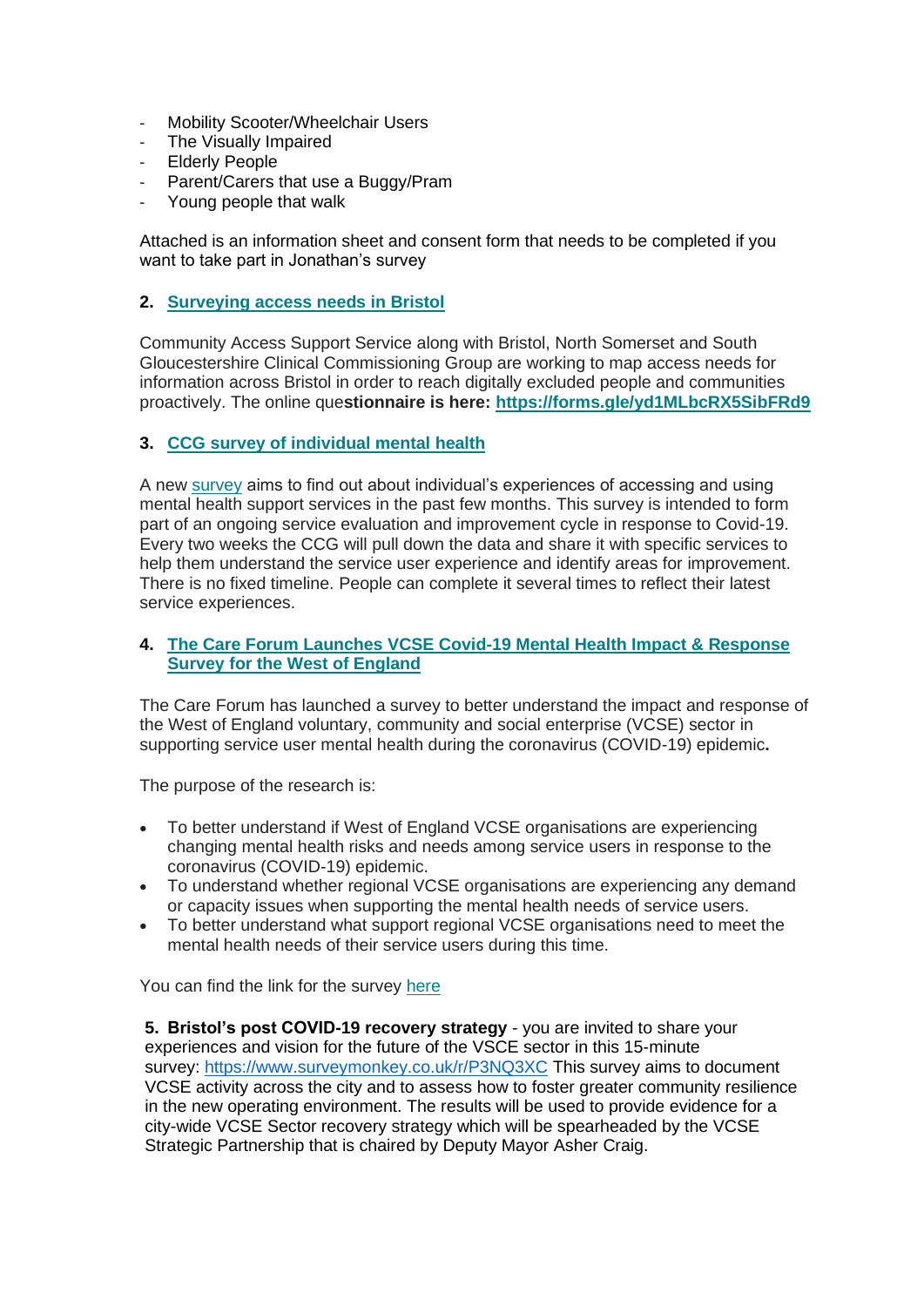- Mobility Scooter/Wheelchair Users
- The Visually Impaired
- Elderly People
- Parent/Carers that use a Buggy/Pram
- Young people that walk

Attached is an information sheet and consent form that needs to be completed if you want to take part in Jonathan's survey

### **2. [Surveying access needs in Bristol](https://resourceleads.us16.list-manage.com/track/click?u=9c0a7feda8ec8fc4431949867&id=d4d63d24aa&e=66b63c4cf4)**

Community Access Support Service along with Bristol, North Somerset and South Gloucestershire Clinical Commissioning Group are working to map access needs for information across Bristol in order to reach digitally excluded people and communities proactively. The online que**stionnaire is here: [https://forms.gle/yd1MLbcRX5SibFRd9](https://resourceleads.us16.list-manage.com/track/click?u=9c0a7feda8ec8fc4431949867&id=43914d2a65&e=66b63c4cf4)**

### **3. [CCG survey of individual mental health](https://resourceleads.us16.list-manage.com/track/click?u=9c0a7feda8ec8fc4431949867&id=7126f9429a&e=66b63c4cf4)**

A new [survey](https://resourceleads.us16.list-manage.com/track/click?u=9c0a7feda8ec8fc4431949867&id=67689338b4&e=66b63c4cf4) aims to find out about individual's experiences of accessing and using mental health support services in the past few months. This survey is intended to form part of an ongoing service evaluation and improvement cycle in response to Covid-19. Every two weeks the CCG will pull down the data and share it with specific services to help them understand the service user experience and identify areas for improvement. There is no fixed timeline. People can complete it several times to reflect their latest service experiences.

### **4. [The Care Forum Launches VCSE Covid-19 Mental Health Impact & Response](https://resourceleads.us16.list-manage.com/track/click?u=9c0a7feda8ec8fc4431949867&id=a2a09c307e&e=66b63c4cf4)  [Survey for the West of England](https://resourceleads.us16.list-manage.com/track/click?u=9c0a7feda8ec8fc4431949867&id=a2a09c307e&e=66b63c4cf4)**

The Care Forum has launched a survey to better understand the impact and response of the West of England voluntary, community and social enterprise (VCSE) sector in supporting service user mental health during the coronavirus (COVID-19) epidemic**.** 

The purpose of the research is:

- To better understand if West of England VCSE organisations are experiencing changing mental health risks and needs among service users in response to the coronavirus (COVID-19) epidemic.
- To understand whether regional VCSE organisations are experiencing any demand or capacity issues when supporting the mental health needs of service users.
- To better understand what support regional VCSE organisations need to meet the mental health needs of their service users during this time.

You can find the link for the survey [here](https://resourceleads.us16.list-manage.com/track/click?u=9c0a7feda8ec8fc4431949867&id=927bdfd4d2&e=66b63c4cf4)

**5. Bristol's post COVID-19 recovery strategy** - you are invited to share your experiences and vision for the future of the VSCE sector in this 15-minute survey: [https://www.surveymonkey.co.uk/r/P3NQ3XC](https://www.voscur.org/sites/all/modules/civicrm/extern/url.php?u=252107&qid=6560925) This survey aims to document VCSE activity across the city and to assess how to foster greater community resilience in the new operating environment. The results will be used to provide evidence for a city-wide VCSE Sector recovery strategy which will be spearheaded by the VCSE Strategic Partnership that is chaired by Deputy Mayor Asher Craig.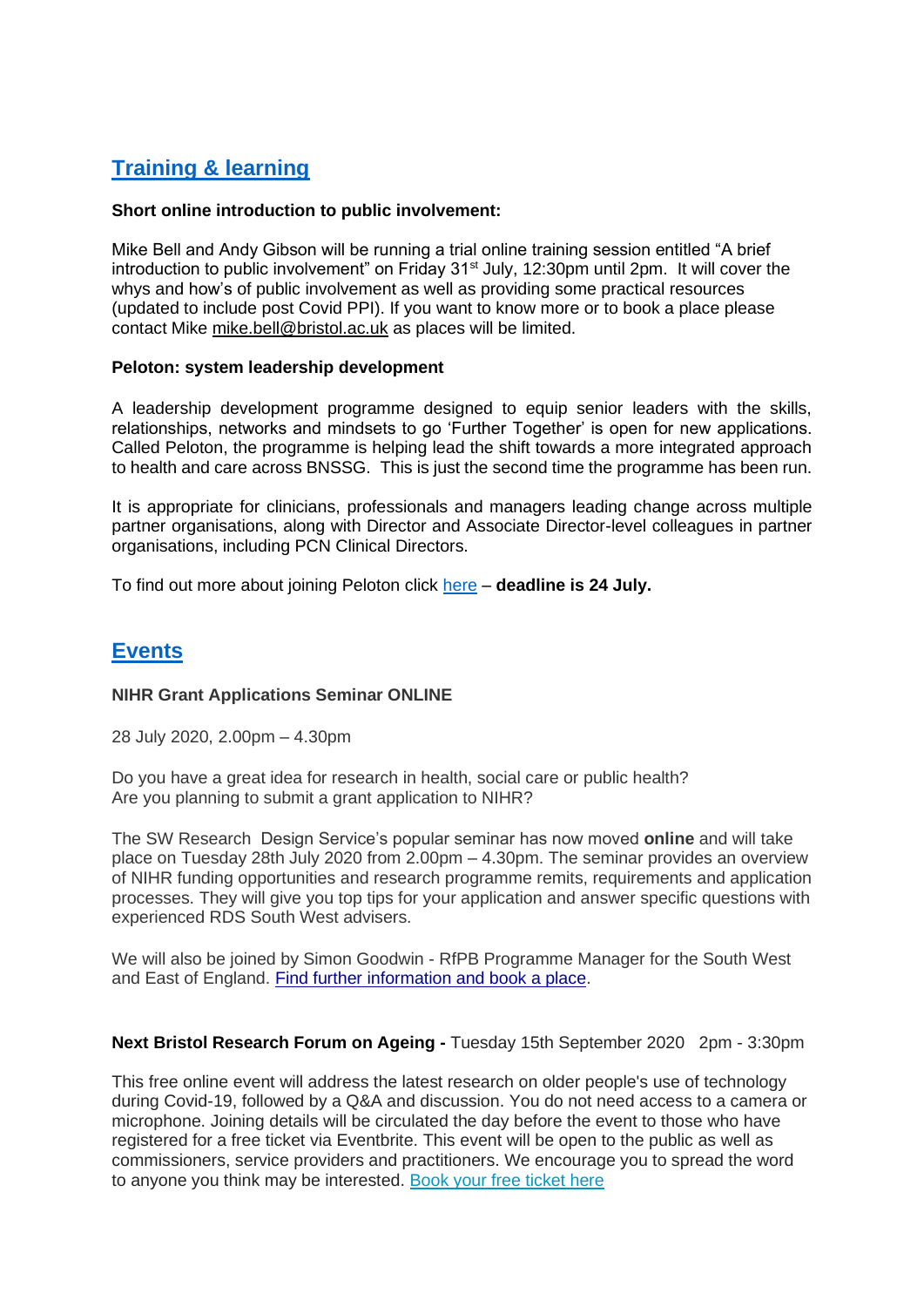# <span id="page-3-0"></span>**Training & learning**

### **Short online introduction to public involvement:**

Mike Bell and Andy Gibson will be running a trial online training session entitled "A brief introduction to public involvement" on Friday 31<sup>st</sup> July, 12:30pm until 2pm. It will cover the whys and how's of public involvement as well as providing some practical resources (updated to include post Covid PPI). If you want to know more or to book a place please contact Mike [mike.bell@bristol.ac.uk](mailto:mike.bell@bristol.ac.uk) as places will be limited.

### **Peloton: system leadership development**

A leadership development programme designed to equip senior leaders with the skills, relationships, networks and mindsets to go 'Further Together' is open for new applications. Called Peloton, the programme is helping lead the shift towards a more integrated approach to health and care across BNSSG. This is just the second time the programme has been run.

It is appropriate for clinicians, professionals and managers leading change across multiple partner organisations, along with Director and Associate Director-level colleagues in partner organisations, including PCN Clinical Directors.

To find out more about joining Peloton click [here](https://bnssghealthiertogether.org.uk/get-involved/peloton/) – **deadline is 24 July.**

## <span id="page-3-1"></span>**Events**

### **NIHR Grant Applications Seminar ONLINE**

28 July 2020, 2.00pm – 4.30pm

Do you have a great idea for research in health, social care or public health? Are you planning to submit a grant application to NIHR?

The SW Research Design Service's popular seminar has now moved **online** and will take place on Tuesday 28th July 2020 from 2.00pm – 4.30pm. The seminar provides an overview of NIHR funding opportunities and research programme remits, requirements and application processes. They will give you top tips for your application and answer specific questions with experienced RDS South West advisers.

We will also be joined by Simon Goodwin - RfPB Programme Manager for the South West and East of England. [Find further information and book a place.](https://rds-sw-grant-applications-seminar.eventbrite.co.uk/)

#### **Next Bristol Research Forum on Ageing -** Tuesday 15th September 2020 2pm - 3:30pm

This free online event will address the latest research on older people's use of technology during Covid-19, followed by a Q&A and discussion. You do not need access to a camera or microphone. Joining details will be circulated the day before the event to those who have registered for a free ticket via Eventbrite. This event will be open to the public as well as commissioners, service providers and practitioners. We encourage you to spread the word to anyone you think may be interested. [Book your free ticket here](https://bristolageingbetter.us11.list-manage.com/track/click?u=ceee2f3e13d6d42a10558008b&id=82938e34f7&e=d06419da72)